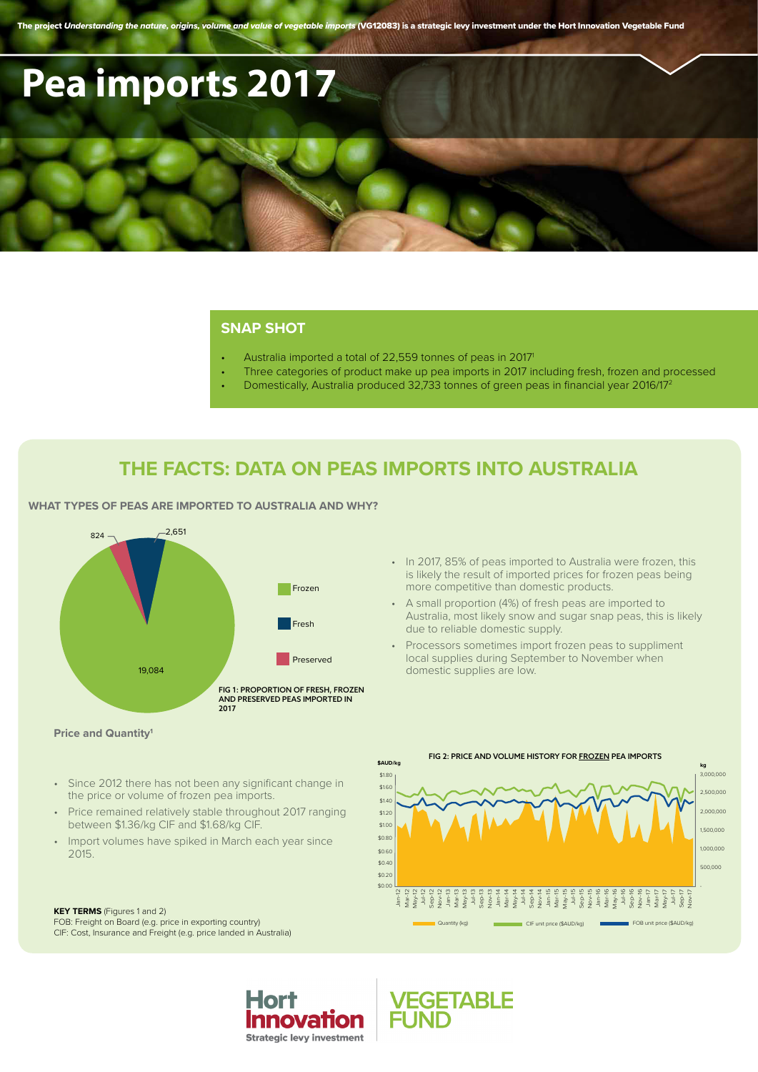The project *Understanding the nature, origins, volume and value of vegetable imports* (VG12083) is a strategic levy investment under the Hort Innovation Vegetable Fund

# **Pea imports 2017**

### **SNAP SHOT**

- Australia imported a total of 22,559 tonnes of peas in 20171
- Three categories of product make up pea imports in 2017 including fresh, frozen and processed
- Domestically, Australia produced 32,733 tonnes of green peas in financial year 2016/172

## **THE FACTS: DATA ON PEAS IMPORTS INTO AUSTRALIA**

**WHAT TYPES OF PEAS ARE IMPORTED TO AUSTRALIA AND WHY?**





**EGETABLE** 

#### **Price and Quantity1**

- Since 2012 there has not been any significant change in the price or volume of frozen pea imports.
- Price remained relatively stable throughout 2017 ranging between \$1.36/kg CIF and \$1.68/kg CIF.
- Import volumes have spiked in March each year since 2015.

#### **KEY TERMS** (Figures 1 and 2)

FOB: Freight on Board (e.g. price in exporting country) CIF: Cost, Insurance and Freight (e.g. price landed in Australia)



• In 2017, 85% of peas imported to Australia were frozen, this is likely the result of imported prices for frozen peas being more competitive than domestic products.

• A small proportion (4%) of fresh peas are imported to Australia, most likely snow and sugar snap peas, this is likely due to reliable domestic supply.

• Processors sometimes import frozen peas to suppliment local supplies during September to November when domestic supplies are low.